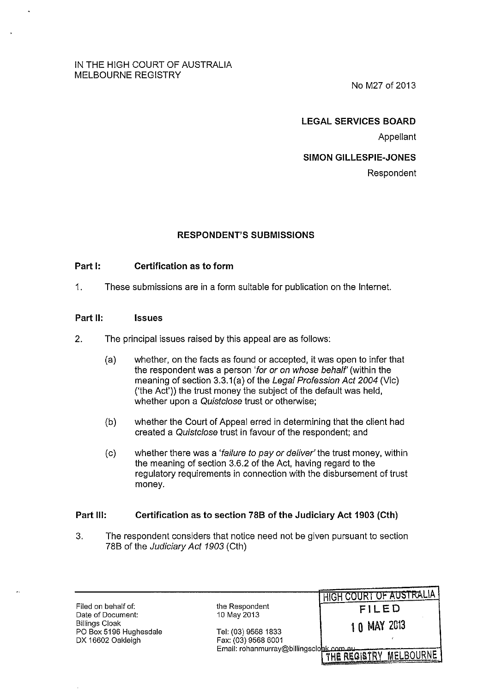#### IN THE HIGH COURT OF AUSTRALIA MELBOURNE REGISTRY

No M27 of 2013

#### LEGAL SERVICES BOARD

Appellant

#### SIMON GILLESPIE-JONES

Respondent

## RESPONDENT'S SUBMISSIONS

## Part I: Certification as to form

1. These submissions are in a form suitable for publication on the Internet.

#### Part II: Issues

- 2. The principal issues raised by this appeal are as follows:
	- (a) whether, on the facts as found or accepted, it was open to infer that the respondent was a person 'for or on whose behalf' (within the meaning of section 3.3.1(a) of the Legal Profession Act 2004 (Vic) ('the Act')) the trust money the subject of the default was held, whether upon a Quistclose trust or otherwise;
	- (b) whether the Court of Appeal erred in determining that the client had created a Quistc/ose trust in favour of the respondent; and
	- (c) whether there was a 'failure to pay or deliver' the trust money, within the meaning of section 3.6.2 of the Act, having regard to the regulatory requirements in connection with the disbursement of trust money.

#### Part Ill: Certification as to section 788 of the Judiciary Act 1903 (Cth)

3. The respondent considers that notice need not be given pursuant to section 78B of the Judiciary Act 1903 (Cth)

Filed on behalf of: the Respondent  $\begin{array}{ccc} \text{D} & \text{FILED} \end{array}$ Billings Cloak 1 0 MAY 2013 PO Box 5196 Hughesdale Tel: (03) 9568 1833 DX 16602 Oakleigh

Email: rohanmurray@billingsclobk

HIGH COURT OF AUSTRALIA

THE REGISTRY MELBOURNE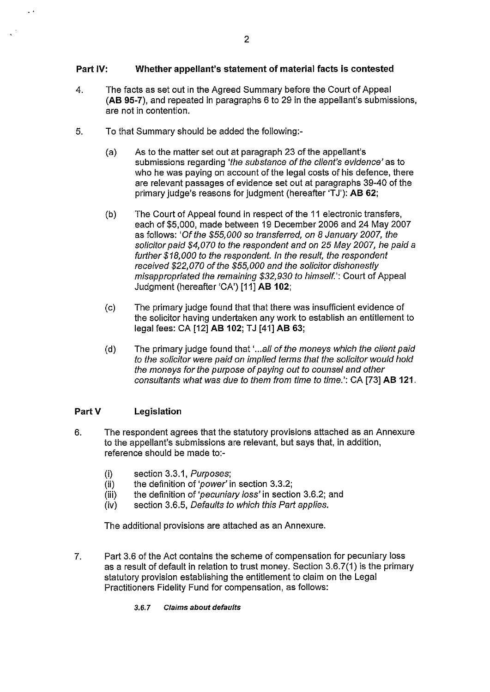## **Part IV: Whether appellant's statement of material facts is contested**

- 4. The facts as set out in the Agreed Summary before the Court of Appeal **(AB 95-7),** and repeated in paragraphs 6 to 29 in the appellant's submissions, are not in contention.
- 5. To that Summary should be added the following:-
	- (a) As to the matter set out at paragraph 23 of the appellant's submissions regarding 'the substance of the client's evidence' as to who he was paying on account of the legal costs of his defence, there are relevant passages of evidence set out at paragraphs 39-40 of the primary judge's reasons for judgment (hereafter 'TJ'): **AB 62**;
	- (b) The Court of Appeal found in respect of the 11 electronic transfers, each of \$5,000, made between 19 December 2006 and 24 May 2007 as follows: 'Of the \$55,000 so transferred, on 8 January 2007, the solicitor paid \$4,070 to the respondent and on 25 May 2007, he paid a further \$18,000 to the respondent. In the result, the respondent received \$22,070 of the \$55,000 and the solicitor dishonestly misappropriated the remaining \$32,930 to himself.': Court of Appeal Judgment (hereafter 'CA') [11] **AB 102;**
	- (c) The primary judge found that that there was insufficient evidence of the solicitor having undertaken any work to establish an entitlement to legal fees: CA [12] **AB 102; TJ [41] <b>AB 63; O**
	- (d) The primary judge found that '...all of the moneys which the client paid to the solicitor were paid on implied terms that the solicitor would hold the moneys for the purpose of paying out to counsel and other consultants what was due to them from time to time.': CA [73] **AB 121.**

#### **PartV Legislation**

- 6. The respondent agrees that the statutory provisions attached as an Annexure to the appellant's submissions are relevant, but says that, in addition, reference should be made to:-
	- (i) section 3.3.1, Purposes;
	- (ii) the definition of 'power' in section 3.3.2;
	- (iii) the definition of 'pecuniary loss' in section 3.6.2; and
	- (iv) section 3.6.5, Defaults to which this Part applies.

The additional provisions are attached as an Annexure.

- 7. Part 3.6 of the Act contains the scheme of compensation for pecuniary loss as a result of default in relation to trust money. Section 3.6.7(1) is the primary statutory provision establishing the entitlement to claim on the Legal Practitioners Fidelity Fund for compensation, as follows:
	- 3.6.7 Claims about defaults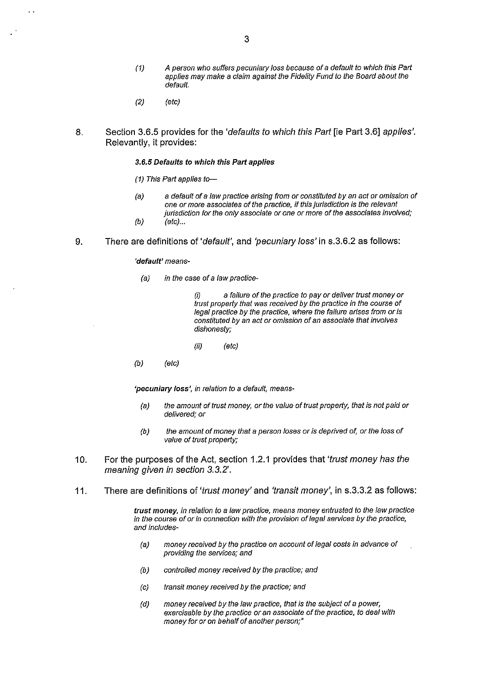- (1) A person who suffers pecuniary loss because of a default to which this Pari applies may make a claim against the Fidelity Fund to the Board about the default.
- (2) (etc)
- 8. Section 3.6.5 provides for the 'defaults to which this Part [ie Part 3.6] applies'. Relevantly, it provides:

#### 3.6.5 Defaults to which this Part applies

- (1) This Part applies to-
- (a) a default of a law practice arising from or constituted by an act or omission of one or more associates of the practice, if this jurisdiction is the relevant jurisdiction for the only associate or one or more of the associates involved;  $(b)$  (etc)...
- 9. There are definitions of 'default', and 'pecuniary loss' in s.3.6.2 as follows:

'default' means-

(a) in the case of a law practice-

a failure of the practice to pay or deliver trust money or trust properly that was received by the practice in the course of legal practice by the practice, where the failure arises from or is constituted by an act or omission of an associate that involves dishonesty;

- (ii) (etc)
- (b) (etc)

'pecuniary loss', in relation to a default, means-

- (a) the amount of trust money, or the value of trust properly, that is not paid or delivered; or
- (b) the amount of money that a person loses or is deprived of, or the loss of value of trust properly;
- 10. For the purposes of the Act, section 1.2.1 provides that 'trust money has the meaning given in section 3.3.2'.
- 11. There are definitions of 'trust money' and 'transit money', in s.3.3.2 as follows:

trust money, in relation to a law practice, means money entrusted to the law practice in the course of or in connection with the provision of legal services by the practice, and includes-

- (a) money received by the practice on account of legal costs in advance of providing the services; and
- (b) controlled money received by the practice; and
- (c) transit money received by the practice; and
- (d) money received by the law practice, that is the subject of a power, exercisable by the practice or an associate of the practice, to deal with money for or on behalf of another person;"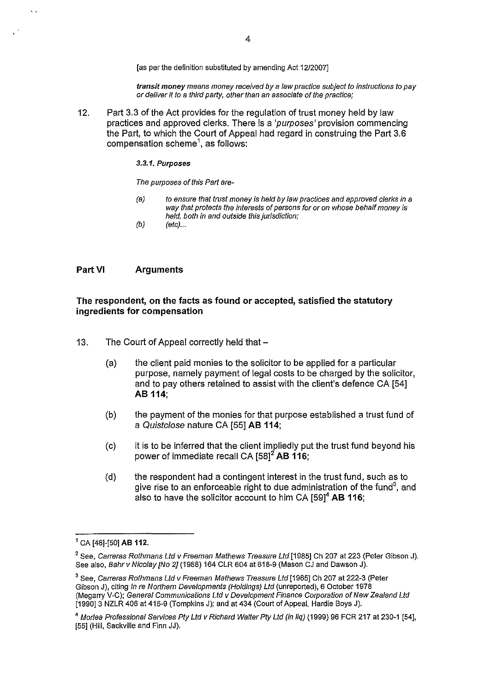[as per the definition substituted by amending Act 1212007]

transit money means money received by a law practice subject to instructions to pay or deliver it to a third party, other than an associate of the practice;

12. Part 3.3 of the Act provides for the regulation of trust money held by law practices and approved clerks. There is a 'purposes' provision commencing the Part, to which the Court of Appeal had regard in construing the Part 3.6 compensation scheme<sup>1</sup>, as follows:

#### 3.3.1. Purposes

The purposes of this Part are-

- (a) to ensure that trust money is held by law practices and approved clerks in a way that protects the interests of persons for or on whose behalf money is held, both in and outside this jurisdiction;
- $(b)$  (etc)...

#### **Part VI Arguments**

 $\ddot{\phantom{a}}$ 

#### **The respondent, on the facts as found or accepted, satisfied the statutory ingredients for compensation**

- 13. The Court of Appeal correctly held that -
	- (a) the client paid monies to the solicitor to be applied for a particular purpose, namely payment of legal costs to be charged by the solicitor, and to pay others retained to assist with the client's defence CA [54] **AB 114;**
	- (b) the payment of the monies for that purpose established a trust fund of a Quistc/ose nature CA [55] **AB 114;**
	- (c) it is to be inferred that the client impliedly put the trust fund beyond his power of immediate recall CA [58]<sup>2</sup> AB 116;
	- (d) the respondent had a contingent interest in the trust fund, such as to give rise to an enforceable right to due administration of the fund<sup>3</sup>, and also to have the solicitor account to him CA [59]4 **AB 116;**

<sup>1</sup>CA [48]-[50] **AB** 112.

<sup>&</sup>lt;sup>2</sup> See, Carreras Rothmans Ltd v Freeman Mathews Treasure Ltd [1985] Ch 207 at 223 (Peter Gibson J). See also, Bahr v Nicolay [No 2] (1988) 164 CLR 604 at 618-9 (Mason CJ and Dawson J).

<sup>&</sup>lt;sup>3</sup> See, Carreras Rothmans Ltd v Freeman Mathews Treasure Ltd [1985] Ch 207 at 222-3 (Peter Gibson J), citing In re Northern Developments (Holdings) Ltd (unreported), 6 October 1978 (Megarry V-C); General Communications Ltd v Development Finance Corporation of New Zealand Ltd [1990]3 NZLR 406 at 415-9 (Tompkins J); and at 434 (Court of Appeal, Hardie Boys J).

<sup>&</sup>lt;sup>4</sup> Morlea Professional Services Pty Ltd v Richard Walter Pty Ltd (in liq) (1999) 96 FCR 217 at 230-1 [54], [55] (Hill, Sackville and Finn JJ).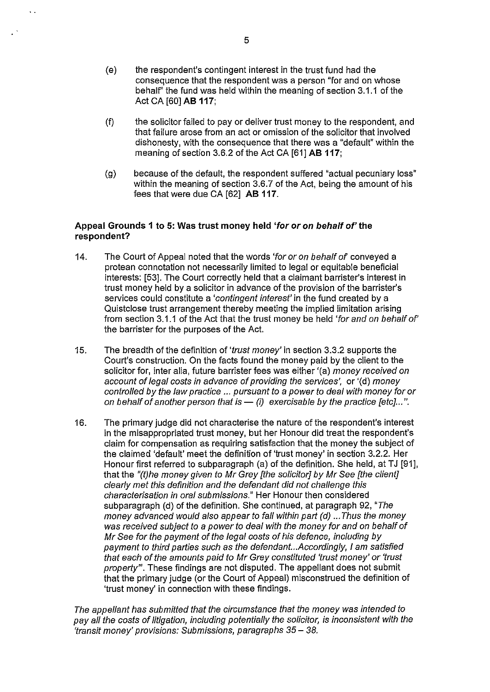- (e) the respondent's contingent interest in the trust fund had the consequence that the respondent was a person "for and on whose behalf' the fund was held within the meaning of section 3.1.1 of the Act CA [60] **AB 117;**
- (f) the solicitor failed to pay or deliver trust money to the respondent, and that failure arose from an act or omission of the solicitor that involved dishonesty, with the consequence that there was a "default" within the meaning of section 3.6.2 of the Act CA [61] **AB 117;**
- (g) because of the default, the respondent suffered "actual pecuniary loss" within the meaning of section 3.6.7 of the Act, being the amount of his fees that were due CA [62] **AB 117.**

#### **Appeal Grounds 1 to 5: Was trust money held 'for or on behalf of' the respondent?**

- 14. The Court of Appeal noted that the words 'for or on behalf of conveyed a protean connotation not necessarily limited to legal or equitable beneficial interests: [53]. The Court correctly held that a claimant barrister's interest in trust money held by a solicitor in advance of the provision of the barrister's services could constitute a 'contingent interest' in the fund created by a Quistclose trust arrangement thereby meeting the implied limitation arising from section 3.1.1 of the Act that the trust money be held 'for and on behalf of' the barrister for the purposes of the Act.
- 15. The breadth of the definition of 'trust money' in section 3.3.2 supports the Court's construction. On the facts found the money paid by the client to the solicitor for, inter alia, future barrister fees was either '(a) money received on account of legal costs in advance of providing the services', or '(d) money controlled by the law practice ... pursuant to a power to deal with money for or on behalf of another person that is  $-$  (i) exercisable by the practice [etc]...".
- 16. The primary judge did not characterise the nature of the respondent's interest in the misappropriated trust money, but her Honour did treat the respondent's claim for compensation as requiring satisfaction that the money the subject of the claimed 'default' meet the definition of 'trust money' in section 3.2.2. Her Honour first referred to subparagraph (a) of the definition. She held, at TJ [91], that the "(t)he money given to Mr Grey [the solicitor] by Mr See [the client] clearly met this definition and the defendant did not challenge this characterisation in oral submissions." Her Honour then considered subparagraph (d) of the definition. She continued, at paragraph 92, "The money advanced would also appear to fall within part (d) ... Thus the money was received subject to a power to deal with the money for and on behalf of Mr See for the payment of the legal costs of his defence, including by payment to third parties such as the defendant... Accordingly, I am satisfied that each of the amounts paid to Mr Grey constituted 'trust money' or 'trust property". These findings are not disputed. The appellant does not submit that the primary judge (or the Court of Appeal) misconstrued the definition of 'trust money' in connection with these findings.

The appellant has submitted that the circumstance that the money was intended to pay all the costs of litigation, including potentially the solicitor, is inconsistent with the 'transit money' provisions: Submissions, paragraphs *35- 38.* 

 $\ddot{\phantom{a}}$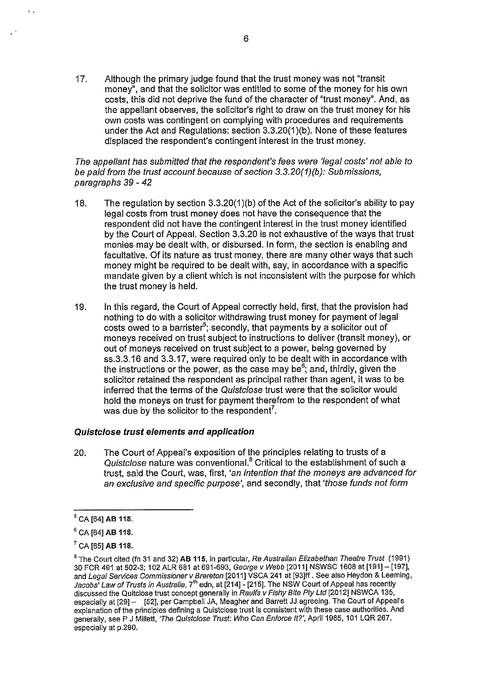17, Although the primary judge found that the trust money was not "transit money", and that the solicitor was entitled to some of the money for his own costs, this did not deprive the fund of the character of "trust money". And, as the appellant observes, the solicitor's right to draw on the trust money for his own costs was contingent on complying with procedures and requirements under the Act and Regulations: section 3.3.20(1 )(b). None of these features displaced the respondent's contingent interest in the trust money.

#### The appellant has submitted that the respondent's fees were 'legal costs' not able to be paid from the trust account because of section 3.3.20(1)(b): Submissions, paragraphs 39 - 42

- 18. The regulation by section 3.3.20(1)(b) of the Act of the solicitor's ability to pay legal costs from trust money does not have the consequence that the respondent did not have the contingent interest in the trust money identified by the Court of Appeal. Section 3.3.20 is not exhaustive of the ways that trust monies may be dealt with, or disbursed. In form, the section is enabling and facultative. Of its nature as trust money, there are many other ways that such money might be required to be dealt with, say, in accordance with a specific mandate given by a client which is not inconsistent with the purpose for which the trust money is held.
- 19. In this regard, the Court of Appeal correctly held, first, that the provision had nothing to do with a solicitor withdrawing trust money for payment of legal costs owed to a barrister<sup>5</sup>; secondly, that payments by a solicitor out of moneys received on trust subject to instructions to deliver (transit money), or out of moneys received on trust subject to a power, being governed by ss.3.3.16 and 3.3.17, were required only to be dealt with in accordance with the instructions or the power, as the case may be<sup>6</sup>; and, thirdly, given the solicitor retained the respondent as principal rather than agent, it was to be inferred that the terms of the Quistclose trust were that the solicitor would hold the moneys on trust for payment therefrom to the respondent of what was due by the solicitor to the respondent<sup>7</sup>.

## Quistclose trust elements and application

20. The Court of Appeal's exposition of the principles relating to trusts of a Quistclose nature was conventional.<sup>8</sup> Critical to the establishment of such a trust, said the Court, was, first, 'an intention that the moneys are advanced for an exclusive and specific purpose', and secondly, that 'those funds not form

'.

 $<sup>5</sup>$  CA [64] AB 118.</sup>

 $6$  CA [64] AB 118.

 $7$  CA [65] AB 118.

 $8$  The Court cited (fn 31 and 32) AB 115, in particular, Re Australian Elizabethan Theatre Trust (1991) 30 FCR 491 at 502-3; 102 ALR 681 at 691-693, George v Webb [2011] NSWSC 1608 at[191]- [197], and Legal Services Commissioner v Brereton [2011] VSCA 241 at [93]ff. See also Heydon & Leeming, Jacobs' Law of Trusts in Australia, 7<sup>th</sup> edn, at [214] - [215]. The NSW Court of Appeal has recently discussed the Quitclose trust concept generally in Raulfs v Fishy Bite Pty Ltd [2012] NSWCA 135, especially at [29] - [52], per Campbell JA, Meagher and Barrett JJ agreeing. The Court of Appeal's explanation of the principles defining a Quistclose trust is consistent with these case authorities. And generally, see P J Millett, 'The Quistclose Trust: Who Can Enforce It?', April 1985, 101 LQR 267, especially at p.290.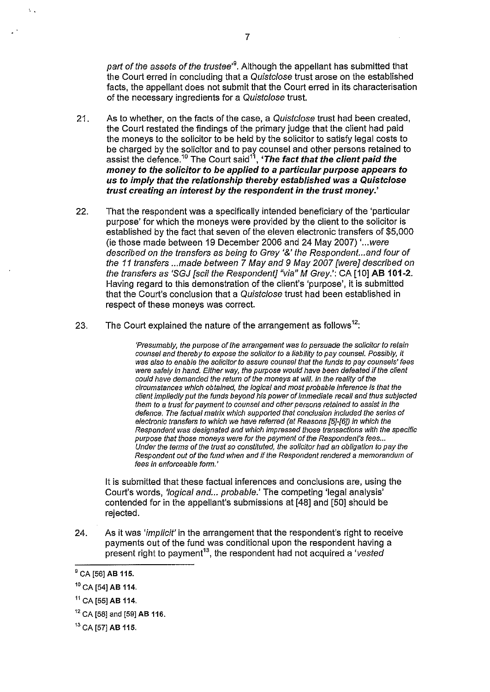part of the assets of the trustee'<sup>9</sup>. Although the appellant has submitted that the Court erred in concluding that a Quistc/ose trust arose on the established facts, the appellant does not submit that the Court erred in its characterisation of the necessary ingredients for a Quistc/ose trust.

- 21. As to whether, on the facts of the case, a Quistclose trust had been created, the Court restated the findings of the primary judge that the client had paid the moneys to the solicitor to be held by the solicitor to satisfy legal costs to be charged by the solicitor and to pay counsel and other persons retained to assist the defence.<sup>10</sup> The Court said<sup>11</sup>, '*The fact that the client paid the* money to the solicitor to be applied to a particular purpose appears to us to imply that the relationship thereby established was a Quistclose trust creating an interest by the respondent in the trust money.'
- 22. That the respondent was a specifically intended beneficiary of the 'particular purpose' for which the moneys were provided by the client to the solicitor is established by the fact that seven of the eleven electronic transfers of \$5,000 (ie those made between 19 December 2006 and 24 May 2007) ' ... were described on the transfers as being to Grey '&'the Respondent... and four of the 11 transfers ... made between 7 May and 9 May 2007 [were] described on the transfers as 'SGJ [scil the Respondent] "via" M Grey.': CA [10] AB 101-2. Having regard to this demonstration of the client's 'purpose', it is submitted that the Court's conclusion that a Quistc/ose trust had been established in respect of these moneys was correct.
- 23. The Court explained the nature of the arrangement as follows<sup>12</sup>:

'Presumably, the purpose of the arrangement was to persuade the solicitor to retain counsel and thereby to expose the solicitor to a liability to pay counsel. Possibly, *it*  was also to enable the solicitor to assure counsel that the funds to pay counsels' fees were safely in hand. Either way, the purpose would have been defeated if the client could have demanded the return of the moneys at will. In the reality of the circumstances which obtained, the logical and most probable inference is that the client impliedly put the funds beyond his power of immediate recall and thus subjected them to a trust for payment to counsel and other persons retained to assist in the defence. The factual matrix which supported that conclusion included the series of electronic transfers to which we have referred (at Reasons [5}-[6]) in which the Respondent was designated and which impressed those transactions with the specific purpose that those moneys were for the payment of the Respondent's fees... Under the terms of the trust so constituted, the solicitor had an obligation to pay the Respondent out of the fund when and if the Respondent rendered a memorandum of fees in enforceable form.'

It is submitted that these factual inferences and conclusions are, using the Court's words, 'logical and... probable.' The competing 'legal analysis' contended for in the appellant's submissions at [48] and [50] should be rejected.

24. As it was 'implicit' in the arrangement that the respondent's right to receive payments out of the fund was conditional upon the respondent having a present right to payment<sup>13</sup>, the respondent had not acquired a 'vested'

'.

 $9$  CA [56] AB 115.

<sup>&</sup>lt;sup>10</sup> CA [54] **AB** 114.

 $11$  CA [55] AB 114.

 $12$  CA [58] and [59] AB 116.

<sup>&</sup>lt;sup>13</sup> CA [57] **AB 115.**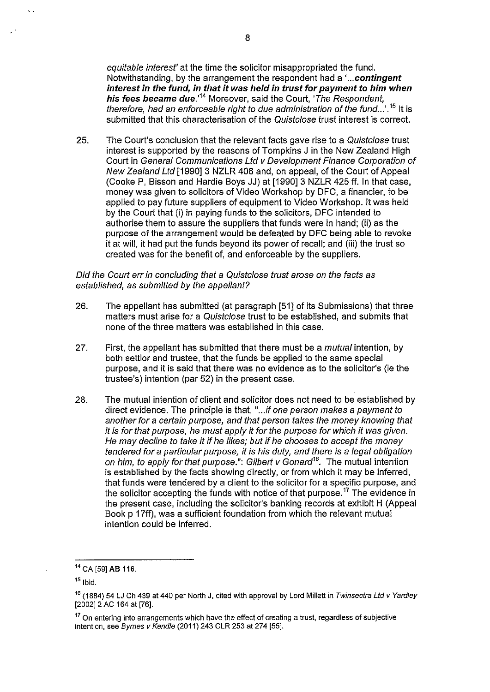equitable interest' at the time the solicitor misappropriated the fund. Notwithstanding, by the arrangement the respondent had a **' ... contingent interest in the fund, in that it was held in trust for payment to him when his fees became due.' <sup>14</sup>**Moreover, said the Court, 'The Respondent, therefore, had an enforceable right to due administration of the fund...'.<sup>15</sup> It is submitted that this characterisation of the Quistclose trust interest is correct.

25. The Court's conclusion that the relevant facts gave rise to a Quistclose trust interest is supported by the reasons of Tompkins J in the New Zealand High Court in General Communications Ltd v Development Finance Corporation of New Zealand Ltd [1990] 3 NZLR 406 and, on appeal, of the Court of Appeal (Cooke P, Bisson and Hardie Boys JJ) at [1990]3 NZLR 425 ff. In that case, money was given to solicitors of Video Workshop by DFC, a financier, to be applied to pay future suppliers of equipment to Video Workshop. It was held by the Court that (i) in paying funds to the solicitors, DFC intended to authorise them to assure the suppliers that funds were in hand; (ii) as the purpose of the arrangement would be defeated by DFC being able to revoke it at will, it had put the funds beyond its power of recall; and (iii) the trust so created was for the benefit of, and enforceable by the suppliers.

#### Did the Court err in concluding that a Quistclose trust arose on the facts as established, as submitted by the appellant?

- 26. The appellant has submitted (at paragraph [51] of its Submissions) that three matters must arise for a Quistclose trust to be established, and submits that none of the three matters was established in this case.
- 27. First, the appellant has submitted that there must be a *mutual* intention, by both settlor and trustee, that the funds be applied to the same special purpose, and it is said that there was no evidence as to the solicitor's (ie the trustee's) intention (par 52) in the present case.
- 28. The mutual intention of client and solicitor does not need to be established by direct evidence. The principle is that, "...if one person makes a payment to another for a certain purpose, and that person takes the money knowing that it is for that purpose, he must apply it for the purpose for which it was given. He may decline to take it if he likes; but if he chooses to accept the money tendered for a particular purpose, it is his duty, and there is a legal obligation on him, to apply for that purpose.": Gilbert v Gonard*16•* The mutual intention is established by the facts showing directly, or from which it may be inferred, that funds were tendered by a client to the solicitor for a specific purpose, and the solicitor accepting the funds with notice of that purpose.<sup>17</sup> The evidence in the present case, including the solicitor's banking records at exhibit H (Appeal Book p 17ff), was a sufficient foundation from which the relevant mutual intention could be inferred.

<sup>&</sup>lt;sup>14</sup> CA [59] AB 116.

 $15$  Ibid.

<sup>&</sup>lt;sup>16</sup> (1884) 54 LJ Ch 439 at 440 per North J, cited with approval by Lord Millett in Twinsectra Ltd v Yardley [2002] 2 AC 164 at [76].

<sup>&</sup>lt;sup>17</sup> On entering into arrangements which have the effect of creating a trust, regardless of subjective intention, see Byrnes v Kendle (2011) 243 CLR 253 at 274 [55].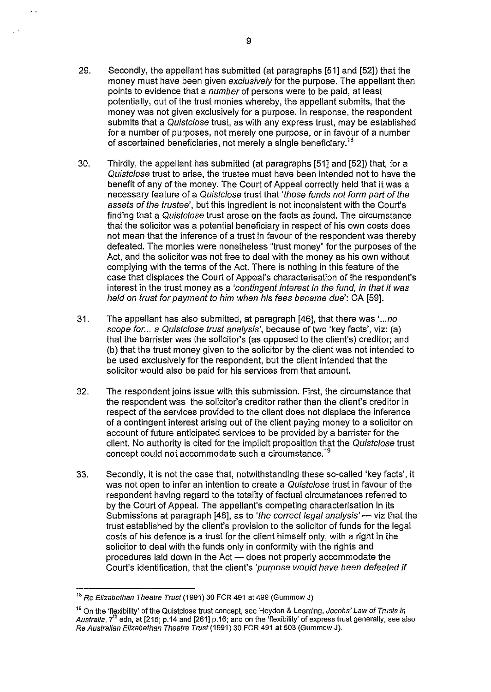- 29. Secondly, the appellant has submitted (at paragraphs [51] and [52]) that the money must have been given *exclusively* for the purpose. The appellant then points to evidence that a number of persons were to be paid, at least potentially, out of the trust monies whereby, the appellant submits, that the money was not given exclusively for a purpose. In response, the respondent submits that a Quistclose trust, as with any express trust, may be established for a number of purposes, not merely one purpose, or in favour of a number of ascertained beneficiaries, not merely a single beneficiary. <sup>18</sup>
- 30. Thirdly, the appellant has submitted (at paragraphs [51] and [52]) that, for a Quistclose trust to arise, the trustee must have been intended not to have the benefit of any of the money. The Court of Appeal correctly held that it was a necessary feature of a Quistclose trust that 'those funds not form part of the assets of the trustee', but this ingredient is not inconsistent with the Court's finding that a Quistclose trust arose on the facts as found. The circumstance that the solicitor was a potential beneficiary in respect of his own costs does not mean that the inference of a trust in favour of the respondent was thereby defeated. The monies were nonetheless "trust money" for the purposes of the Act, and the solicitor was not free to deal with the money as his own without complying with the terms of the Act. There is nothing in this feature of the case that displaces the Court of Appeal's characterisation of the respondent's interest in the trust money as a 'contingent interest in the fund, in that it was held on trust for payment to him when his fees became due': CA [59].
- 31. The appellant has also submitted, at paragraph [46], that there was ' ... no scope for... a Quistclose trust analysis', because of two 'key facts', viz: (a) that the barrister was the solicitor's (as opposed to the client's) creditor; and (b) that the trust money given to the solicitor by the client was not intended to be used exclusively for the respondent, but the client intended that the solicitor would also be paid for his services from that amount.
- 32. The respondent joins issue with this submission. First, the circumstance that the respondent was the solicitor's creditor rather than the client's creditor in respect of the services provided to the client does not displace the inference of a contingent interest arising out of the client paying money to a solicitor on account of future anticipated services to be provided by a barrister for the client. No authority is cited for the implicit proposition that the Quistclose trust concept could not accommodate such a circumstance.<sup>19</sup>
- 33. Secondly, it is not the case that, notwithstanding these so-called 'key facts', it was not open to infer an intention to create a Quistclose trust in favour of the respondent having regard to the totality of factual circumstances referred to by the Court of Appeal. The appellant's competing characterisation in its Submissions at paragraph [48], as to 'the correct legal analysis' -- viz that the trust established by the client's provision to the solicitor of funds for the legal costs of his defence is a trust for the client himself only, with a right in the solicitor to deal with the funds only in conformity with the rights and procedures laid down in the Act - does not properly accommodate the Court's identification, that the client's 'purpose would have been defeated if

<sup>&</sup>lt;sup>18</sup> Re Elizabethan Theatre Trust (1991) 30 FCR 491 at 499 (Gummow J)

<sup>&</sup>lt;sup>19</sup> On the 'flexibility' of the Quistclose trust concept, see Heydon & Leeming, Jacobs' Law of Trusts in Australia,  $7<sup>th</sup>$  edn, at [215] p.14 and [261] p.16; and on the 'flexibility' of express trust generally, see also Re Australian Elizabethan Theatre Trust (1991) 30 FCR 491 at 503 (Gummow J).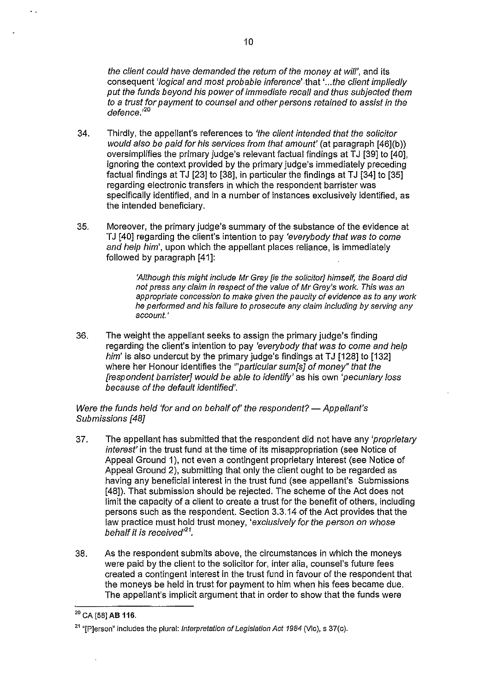the client could have demanded the return of the money at will', and its consequent 'logical and most probable inference' .that ' .. .the client impliedly put the funds beyond his power of immediate recall and thus subjected them to a trust for payment to counsel and other persons retained to assist in the defence.'*<sup>20</sup>*

- 34. Thirdly, the appellant's references to 'the client intended that the solicitor would also be paid for his services from that amount' (at paragraph [46](b)) oversimplifies the primary judge's relevant factual findings at TJ [39] to [40]. ignoring the context provided by the primary judge's immediately preceding factual findings at TJ [23] to [38], in particular the findings at TJ [34] to [35] regarding electronic transfers in which the respondent barrister was specifically identified, and in a number of instances exclusively identified, as the intended beneficiary.
- 35. Moreover, the primary judge's summary of the substance of the evidence at TJ [40] regarding the client's intention to pay 'everybody that was to come and help him', upon which the appellant places reliance, is immediately followed by paragraph [41]:

'Although this might include Mr Grey lie the solicitori himself, the Board did not press any claim in respect of the value of Mr Grey's work. This was an appropriate concession to make given the paucity of evidence as to any work he performed and his failure to prosecute any claim including by serving any account.'

36. The weight the appellant seeks to assign the primary judge's finding regarding the client's intention to pay 'everybody that was to come and help him' is also undercut by the primary judge's findings at TJ  $[128]$  to  $[132]$ where her Honour identifies the "*particular sum[s] of money" that the* [respondent barrister] would be able to identify' as his own 'pecuniary loss because of the default identified'.

Were the funds held 'for and on behalf of' the respondent? - Appellant's Submissions [48]

- 37. The appellant has submitted that the respondent did not have any 'proprietary interest' in the trust fund at the time of its misappropriation (see Notice of Appeal Ground 1), not even a contingent proprietary interest (see Notice of Appeal Ground 2), submitting that only the client ought to be regarded as having any beneficial interest in the trust fund (see appellant's Submissions [48]). That submission should be rejected. The scheme of the Act does not limit the capacity of a client to create a trust for the benefit of others, including persons such as the respondent. Section 3.3.14 of the Act provides that the law practice must hold trust money, 'exclusively for the person on whose behalf it is received $^{21}$ .
- 38. As the respondent submits above, the circumstances in which the moneys were paid by the client to the solicitor for, inter alia, counsel's future fees created a contingent interest in the trust fund in favour of the respondent that the moneys be held in trust for payment to him when his fees became due. The appellant's implicit argument that in order to show that the funds were

 $\mathbf{r}$ 

<sup>2</sup> ° CA [58] AB **116.** 

<sup>&</sup>lt;sup>21</sup> "[P]erson" includes the plural: *Interpretation of Legislation Act 1984* (Vic), s 37(c).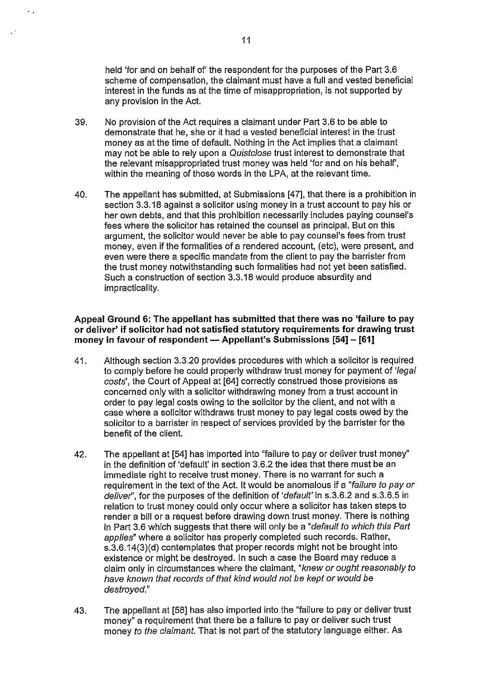held 'for and on behalf of' the respondent for the purposes of the Part 3.6 scheme of compensation, the claimant must have a full and vested beneficial interest in the funds as at the time of misappropriation, is not supported by any provision in the Act.

- 39. No provision of the Act requires a claimant under Part 3.6 to be able to demonstrate that he, she or it had a vested beneficial interest in the trust money as at the time of default. Nothing in the Act implies that a claimant may not be able to rely upon a Quistclose trust interest to demonstrate that the relevant misappropriated trust money was held 'for and on his behalf', within the meaning of those words in the LPA, at the relevant time.
- 40. The appellant has submitted, at Submissions [4 7], that there is a prohibition in section 3.3.18 against a solicitor using money in a trust account to pay his or her own debts, and that this prohibition necessarily includes paying counsel's fees where the solicitor has retained the counsel as principal. But on this argument, the solicitor would never be able to pay counsel's fees from trust money, even if the formalities of a rendered account, (etc), were present, and even were there a specific mandate from the client to pay the barrister from the trust money notwithstanding such formalities had not yet been satisfied. Such a construction of section 3.3.18 would produce absurdity and impracticality.

#### Appeal Ground 6: The appellant has submitted that there was no 'failure to pay or deliver' if solicitor had not satisfied statutory requirements for drawing trust money in favour of respondent - Appellant's Submissions  $[54] - [61]$

- 41. Although section 3.3.20 provides procedures with which a solicitor is required to comply before he could properly withdraw trust money for payment of 'legal costs', the Court of Appeal at [64] correctly construed those provisions as concerned only with a solicitor withdrawing money from a trust account in order to pay legal costs owing to the solicitor by the client, and not with a case where a solicitor withdraws trust money to pay legal costs owed by the solicitor to a barrister in respect of services provided by the barrister for the benefit of the client.
- 42. The appellant at [54] has imported into "failure to pay or deliver trust money" in the definition of 'default' in section 3.6.2 the idea that there must be an immediate right to receive trust money. There is no warrant for such a requirement in the text of the Act. It would be anomalous if a "failure to pay or deliver", for the purposes of the definition of 'default' in s.3.6.2 and s.3.6.5 in relation to trust money could only occur where a solicitor has taken steps to render a bill or a request before drawing down trust money. There is nothing in Part 3.6 which suggests that there will only be a "default to which this Part applies" where a solicitor has properly completed such records. Rather, s.3.6.14(3)(d) contemplates that proper records might not be brought into existence or might be destroyed. In such a case the Board may reduce a claim only in circumstances where the claimant, "knew or ought reasonably to have known that records of that kind would not be kept or would be destroyed."
- 43. The appellant at [58] has also imported into the "failure to pay or deliver trust money" a requirement that there be a failure to pay or deliver such trust money to the claimant. That is not part of the statutory language either. As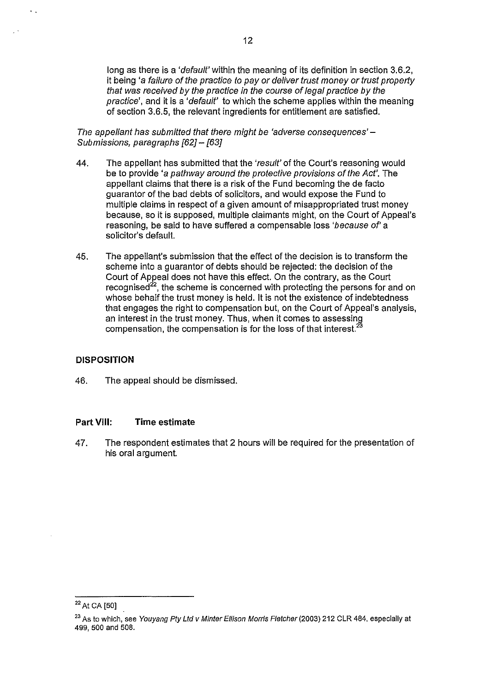long as there is a 'default' within the meaning of its definition in section 3.6.2, it being 'a failure of the practice to pay or deliver trust money or trust property that was received by the practice in the course of legal practice by the practice', and it is a 'default' to which the scheme applies within the meaning of section 3.6.5, the relevant ingredients for entitlement are satisfied.

12

The appellant has submitted that there might be 'adverse consequences'  $-$ Submissions, paragraphs [62] - [63]

- 44. The appellant has submitted that the 'result' of the Court's reasoning would be to provide 'a pathway around the protective provisions of the Act'. The appellant claims that there is a risk of the Fund becoming the de facto guarantor of the bad debts of solicitors, and would expose the Fund to multiple claims in respect of a given amount of misappropriated trust money because, so it is supposed, multiple claimants might, on the Court of Appeal's reasoning, be said to have suffered a compensable loss 'because of' a solicitor's default.
- 45. The appellant's submission that the effect of the decision is to transform the scheme into a guarantor of debts should be rejected: the decision of the Court of Appeal does not have this effect. On the contrary, as the Court recognised $2^2$ , the scheme is concerned with protecting the persons for and on whose behalf the trust money is held. It is not the existence of indebtedness that engages the right to compensation but, on the Court of Appeal's analysis, and stigages are tight is seen, shown in the time an interest in the trust money. Thus, when it comes to assessing compensation, the compensation is for the loss of that interest. $33$

#### **DISPOSITION**

46. The appeal should be dismissed.

#### **Part VIII: Time estimate**

47. The respondent estimates that 2 hours will be required for the presentation of his oral argument.

<sup>&</sup>lt;sup>22</sup> At CA [50]

<sup>&</sup>lt;sup>23</sup> As to which, see Youyang Pty Ltd v Minter Ellison Morris Fletcher (2003) 212 CLR 484, especially at 499, 500 and 508.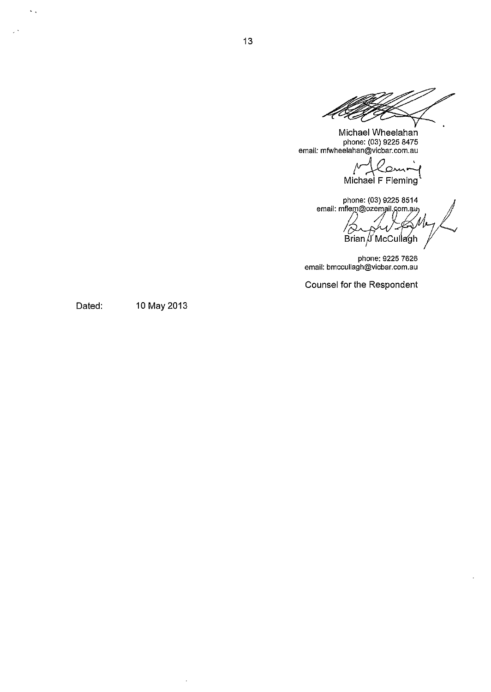Michael Wheelahan phone: (03) 9225 8475 email: mfwheelahan@vicbar.com.au

elahan@vicbar.com.au<br>
/ Comming<br>
Michael F Fleming

phone: (03) 9225 8514 phone: (US) 9225 8514<br>email: mflem@ozemail.com.au<br> *C -Z AA* Brian U'McC~Il/gh *r* 

phone: 9225 7626 email: bmccullagh@vicbar.com.au

Counsel for the Respondent

Dated: 10 May 2013

 $\sim$   $\sim$ 

 $\mathbf{r}$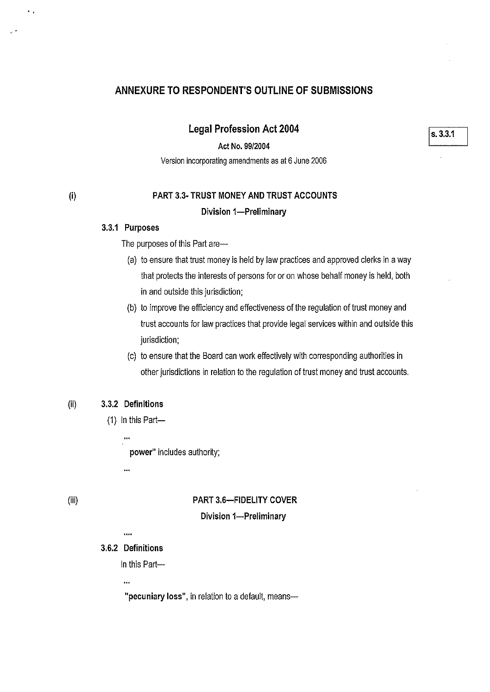# **ANNEXURE TO RESPONDENT'S OUTLINE OF SUBMISSIONS**

**Legal Profession Act 2004** 

**Act No. 99/2004** 

Version incorporating amendments as at 6 June 2006

 $\ddot{\phantom{a}}$ 

# **PART 3.3· TRUST MONEY AND TRUST ACCOUNTS Division 1-Preliminary**

#### **3.3.1 Purposes**

The purposes of this Part are-

- (a) to ensure that trust money is held by law practices and approved clerks in a way that protects the interests of persons for or on whose behalf money is held, both in and outside this jurisdiction;
- (b) to improve the efficiency and effectiveness of the regulation of trust money and trust accounts for law practices that provide legal services within and outside this jurisdiction;
- (c) to ensure that the Board can work effectively with corresponding authorities in other jurisdictions in relation to the regulation of trust money and trust accounts.

#### (ii) **3.3.2 Definitions**

 $(1)$  In this Part-

**power"** includes authority;

...

## (iii)

# **PART 3.6-FIDELITY COVER**

#### **Division 1-Preliminary**

 $\ddotsc$ 

## **3.6.2 Definitions**

In this Part-

 $\ddot{\phantom{a}}$ 

**"pecuniary loss",** in relation to a default, means-

Is. **3.3.1**